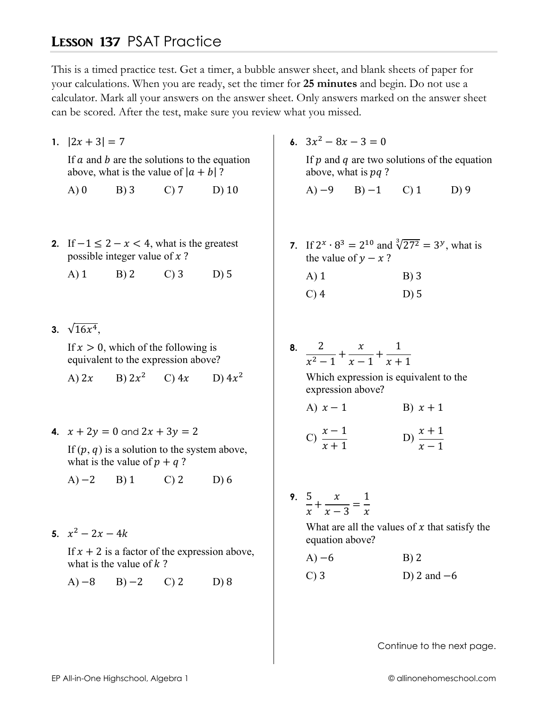## **LESSON 137 PSAT Practice**

This is a timed practice test. Get a timer, a bubble answer sheet, and blank sheets of paper for your calculations. When you are ready, set the timer for 25 minutes and begin. Do not use a calculator. Mark all your answers on the answer sheet. Only answers marked on the answer sheet can be scored. After the test, make sure you review what you missed.

1.  $|2x + 3| = 7$ 

If  $a$  and  $b$  are the solutions to the equation above, what is the value of  $|a + b|$ ?

- $A)0$  $B)$  3  $C<sub>0</sub>$  7  $D)$  10
- 2. If  $-1 \leq 2 x < 4$ , what is the greatest possible integer value of  $x$ ?

 $C$ ) 3  $A)$  1  $B)2$  $D$ ) 5

3.  $\sqrt{16x^4}$ .

If  $x > 0$ , which of the following is equivalent to the expression above?

B)  $2x^2$  C)  $4x$ D)  $4x^2$ A)  $2x$ 

4.  $x + 2y = 0$  and  $2x + 3y = 2$ 

If  $(p, q)$  is a solution to the system above, what is the value of  $p + q$ ?

- $A) -2$  $B)1$  $C<sub>2</sub>$  $D)6$
- 5.  $x^2 2x 4k$

If  $x + 2$  is a factor of the expression above, what is the value of  $k$ ?

 $A) -8$  $B) -2$  $C<sub>2</sub>$  $D$ ) 8 6.  $3x^2 - 8x - 3 = 0$ 

If  $p$  and  $q$  are two solutions of the equation above, what is  $pq$ ?

- $A$ )  $-9$  $B) - 1$  $\mathcal{C}$ ) 1  $D$ ) 9
- 7. If  $2^x \cdot 8^3 = 2^{10}$  and  $\sqrt[3]{27^2} = 3^y$ , what is the value of  $y - x$ ?

| $A)$ 1  | $B)$ 3 |
|---------|--------|
| $C$ ) 4 | $D)$ 5 |

8.  $\frac{2}{x^2-1} + \frac{x}{x-1} + \frac{1}{x+1}$ 

Which expression is equivalent to the expression above?

A)  $x-1$ B)  $x+1$ 

$$
C) \frac{x-1}{x+1}
$$
 
$$
D) \frac{x+1}{x-1}
$$

9.  $\frac{5}{x} + \frac{x}{x-3} = \frac{1}{x}$ 

What are all the values of  $x$  that satisfy the equation above?

 $A) -6$  $B)$  2  $C$ ) 3 D) 2 and  $-6$ 

Continue to the next page.